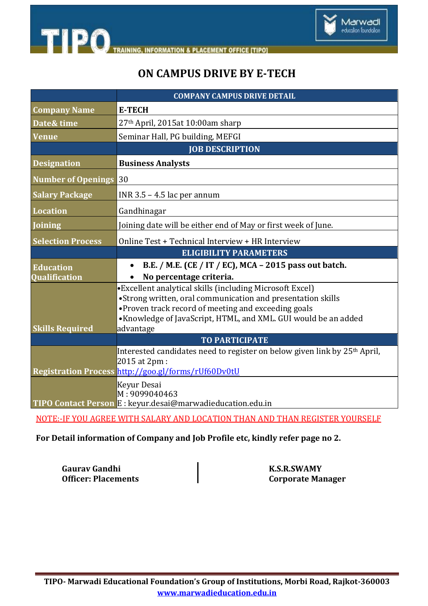

# **ON CAMPUS DRIVE BY E-TECH**

|                              | <b>COMPANY CAMPUS DRIVE DETAIL</b>                                                                                     |
|------------------------------|------------------------------------------------------------------------------------------------------------------------|
| <b>Company Name</b>          | <b>E-TECH</b>                                                                                                          |
| Date& time                   | 27th April, 2015at 10:00am sharp                                                                                       |
| <b>Venue</b>                 | Seminar Hall, PG building, MEFGI                                                                                       |
|                              | <b>JOB DESCRIPTION</b>                                                                                                 |
| <b>Designation</b>           | <b>Business Analysts</b>                                                                                               |
| <b>Number of Openings 30</b> |                                                                                                                        |
| <b>Salary Package</b>        | INR $3.5 - 4.5$ lac per annum                                                                                          |
| <b>Location</b>              | Gandhinagar                                                                                                            |
| <b>Joining</b>               | Joining date will be either end of May or first week of June.                                                          |
| <b>Selection Process</b>     | Online Test + Technical Interview + HR Interview                                                                       |
|                              | <b>ELIGIBILITY PARAMETERS</b>                                                                                          |
| <b>Education</b>             | B.E. / M.E. (CE / IT / EC), MCA - 2015 pass out batch.                                                                 |
| Qualification                | No percentage criteria.                                                                                                |
|                              | •Excellent analytical skills (including Microsoft Excel)                                                               |
|                              | •Strong written, oral communication and presentation skills                                                            |
|                              | • Proven track record of meeting and exceeding goals<br>•Knowledge of JavaScript, HTML, and XML. GUI would be an added |
| <b>Skills Required</b>       | advantage                                                                                                              |
|                              | <b>TO PARTICIPATE</b>                                                                                                  |
|                              | Interested candidates need to register on below given link by 25 <sup>th</sup> April,                                  |
|                              | 2015 at 2pm :                                                                                                          |
|                              | Registration Process http://goo.gl/forms/rUf60Dv0tU                                                                    |
|                              | Keyur Desai                                                                                                            |
|                              | M: 9099040463                                                                                                          |
|                              | TIPO Contact Person E : keyur.desai@marwadieducation.edu.in                                                            |

NOTE:-IF YOU AGREE WITH SALARY AND LOCATION THAN AND THAN REGISTER YOURSELF

**For Detail information of Company and Job Profile etc, kindly refer page no 2.**

**Gaurav Gandhi Gaurav Gandhi K.S.R.SWAMY**<br> **Officer: Placements** 

**Corporate Manager**